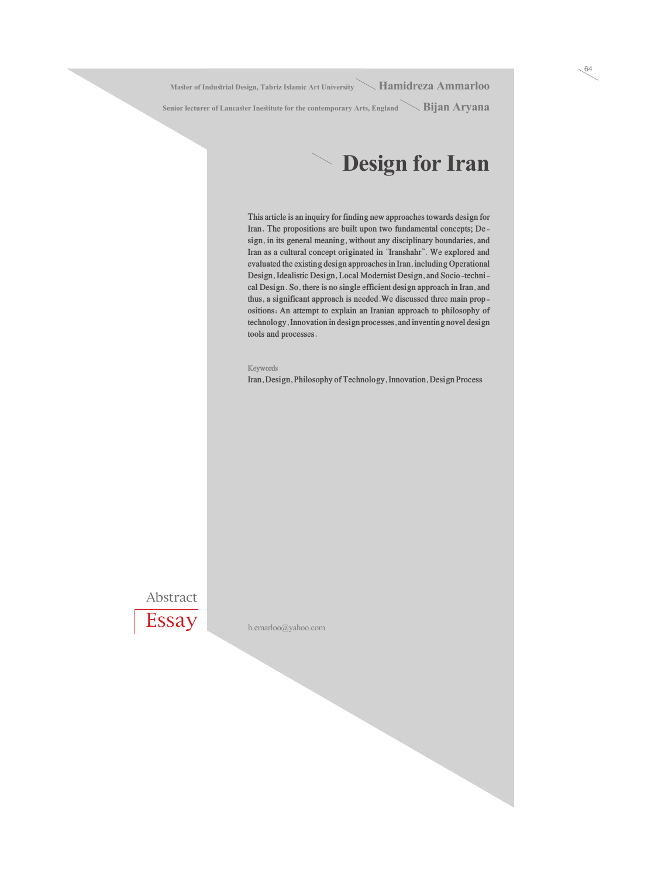**Master of Industrial Design, Tabriz Islamic Art University Hamidreza Ammarloo**

Senior lecturer of Lancaster Inestitute for the contemporary Arts, England **Bijan Aryana** 

### **Design for Iran**

**This article is an inquiry for finding new approaches towards design for Iran. The propositions are built upon two fundamental concepts; Design, in its general meaning, without any disciplinary boundaries, and Iran as a cultural concept originated in "Iranshahr". We explored and evaluated the existing design approaches in Iran, including Operational Design, Idealistic Design, Local Modernist Design, and Socio-technical Design. So, there is no single efficient design approach in Iran, and thus, a significant approach is needed.We discussed three main propositions: An attempt to explain an Iranian approach to philosophy of technology, Innovation in design processes, and inventing novel design tools and processes.**

#### **Keywords**

**Iran, Design, Philosophy of Technology, Innovation, Design Process**

Abstract



h.emarloo@yahoo.com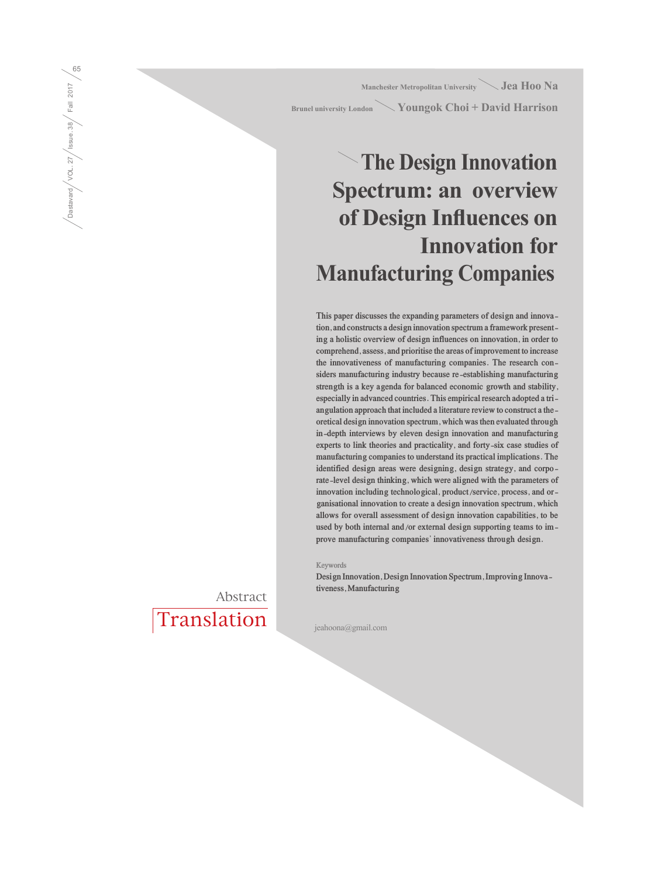**Manchester Metropolitan University Jea Hoo Na Brunel university London Youngok Choi + David Harrison**

# **The Design Innovation Spectrum: an overview of Design Influences on Innovation for Manufacturing Companies**

**This paper discusses the expanding parameters of design and innovation, and constructs a design innovation spectrum a framework presenting a holistic overview of design influences on innovation, in order to comprehend, assess, and prioritise the areas of improvement to increase the innovativeness of manufacturing companies. The research considers manufacturing industry because re-establishing manufacturing strength is a key agenda for balanced economic growth and stability, especially in advanced countries. This empirical research adopted a triangulation approach that included a literature review to construct a theoretical design innovation spectrum, which was then evaluated through in-depth interviews by eleven design innovation and manufacturing experts to link theories and practicality, and forty-six case studies of manufacturing companies to understand its practical implications. The identified design areas were designing, design strategy, and corporate-level design thinking, which were aligned with the parameters of innovation including technological, product/service, process, and organisational innovation to create a design innovation spectrum, which allows for overall assessment of design innovation capabilities, to be used by both internal and/or external design supporting teams to improve manufacturing companies' innovativeness through design.**

**Keywords**

**Design Innovation, Design Innovation Spectrum, Improving Innovativeness, Manufacturing**

jeahoona@gmail.com

Translation Abstract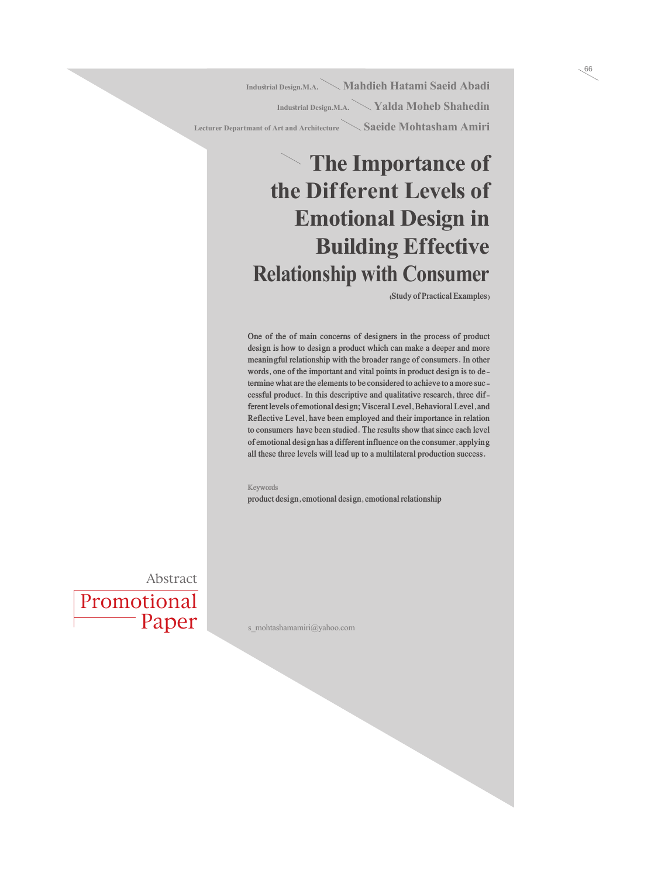**Industrial Design.M.A. Mahdieh Hatami Saeid Abadi Industrial Design.M.A. Yalda Moheb Shahedin Lecturer Departmant of Art and Architecture Saeide Mohtasham Amiri** 

# **The Importance of the Dif ferent Levels of Emotional Design in** *Building Effective* **Relationship with Consumer**

**(Study of Practical Examples)**

**One of the of main concerns of designers in the process of product design is how to design a product which can make a deeper and more meaningful relationship with the broader range of consumers. In other words, one of the important and vital points in product design is to determine what are the elements to be considered to achieve to a more successful product. In this descriptive and qualitative research, three different levels of emotional design; Visceral Level, Behavioral Level, and Reflective Level, have been employed and their importance in relation to consumers have been studied. The results show that since each level of emotional design has a different influence on the consumer, applying all these three levels will lead up to a multilateral production success.**

#### **Keywords**

**product design, emotional design, emotional relationship**

Promotional Paper Abstract

s\_mohtashamamiri@yahoo.com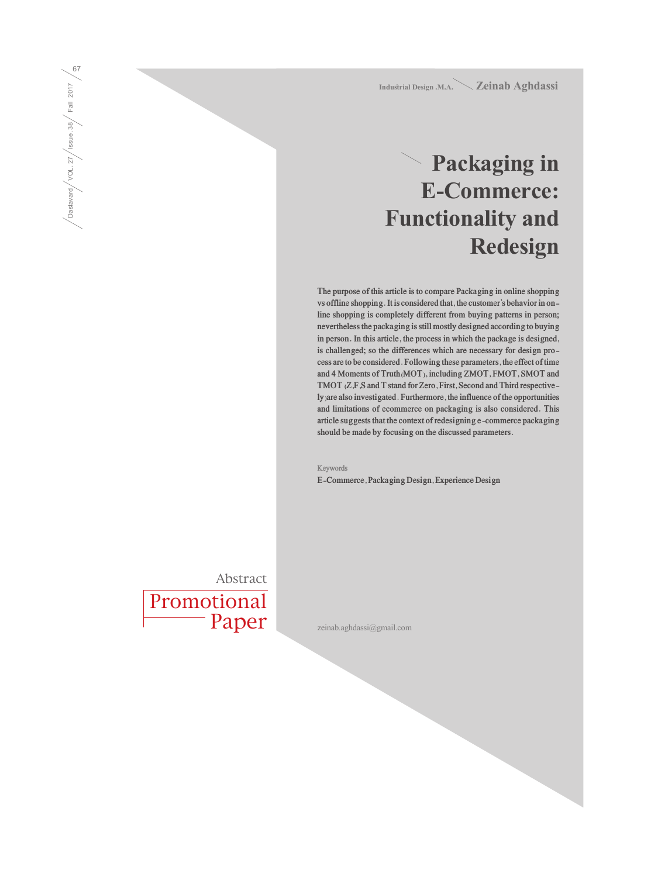**Industrial Design .M.A. Zeinab Aghdassi**

## **Packaging in E-Commerce: Functionality and Redesign**

**The purpose of this article is to compare Packaging in online shopping vs offline shopping. It is considered that, the customer's behavior in online shopping is completely different from buying patterns in person; nevertheless the packaging is still mostly designed according to buying in person. In this article, the process in which the package is designed, is challenged; so the differences which are necessary for design process are to be considered. Following these parameters, the effect of time and 4 Moments of Truth(MOT), including ZMOT, FMOT, SMOT and TMOT (Z,F,S and T stand for Zero, First, Second and Third respectively)are also investigated. Furthermore, the influence of the opportunities and limitations of ecommerce on packaging is also considered. This article suggests that the context of redesigning e-commerce packaging should be made by focusing on the discussed parameters.**

**Keywords E-Commerce, Packaging Design, Experience Design**

Promotional Paper Abstract

zeinab.aghdassi@gmail.com

Dastavard / VOL. 27 / Issue. 38 / Fall 2017  $\sqrt{\frac{1}{\text{Dastavad}}}/\text{VOL}.27/\text{issue}.38}/\text{Full }2017/\text{G}$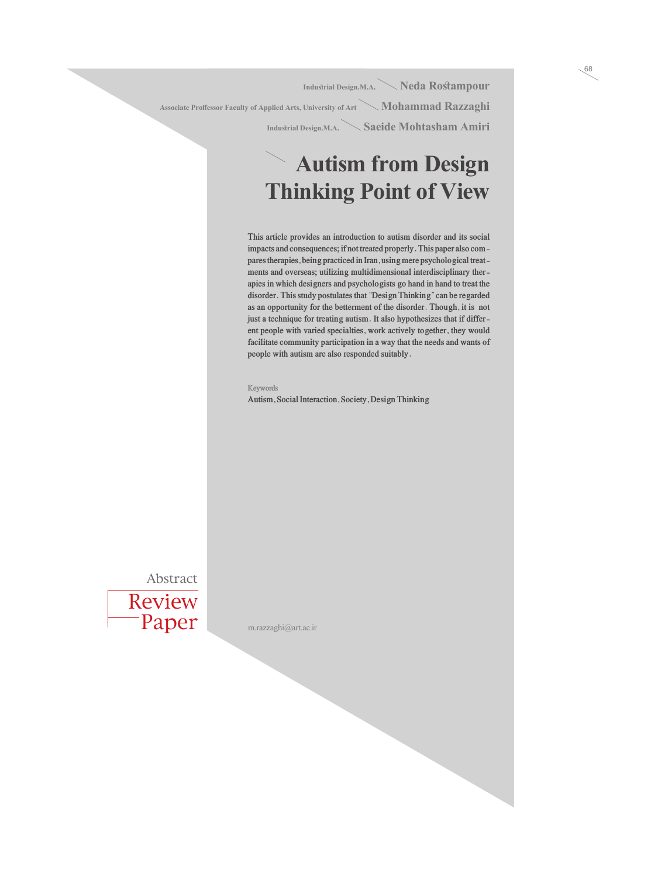**Industrial Design.M.A. Neda Rostampour** Associate Proffessor Faculty of Applied Arts, University of Art **Mohammad Razzaghi Industrial Design.M.A. Saeide Mohtasham Amiri**

### **Autism from Design Thinking Point of View**

**This article provides an introduction to autism disorder and its social impacts and consequences; if not treated properly. This paper also compares therapies, being practiced in Iran, using mere psychological treatments and overseas; utilizing multidimensional interdisciplinary therapies in which designers and psychologists go hand in hand to treat the disorder. This study postulates that "Design Thinking" can be regarded as an opportunity for the betterment of the disorder. Though, it is not just a technique for treating autism. It also hypothesizes that if different people with varied specialties, work actively together, they would facilitate community participation in a way that the needs and wants of people with autism are also responded suitably.**

#### **Keywords**

**Autism, Social Interaction, Society, Design Thinking**

Review Paper Abstract

m.razzaghi@art.ac.ir